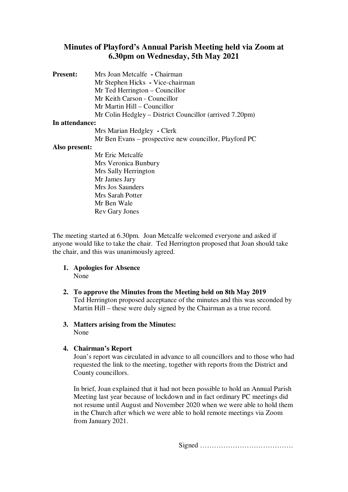# **Minutes of Playford's Annual Parish Meeting held via Zoom at 6.30pm on Wednesday, 5th May 2021**

**Present:** Mrs Joan Metcalfe **-** Chairman Mr Stephen Hicks **-** Vice-chairman Mr Ted Herrington – Councillor Mr Keith Carson - Councillor Mr Martin Hill – Councillor Mr Colin Hedgley – District Councillor (arrived 7.20pm) **In attendance:**  Mrs Marian Hedgley **-** Clerk Mr Ben Evans – prospective new councillor, Playford PC **Also present:**  Mr Eric Metcalfe Mrs Veronica Bunbury Mrs Sally Herrington Mr James Jary Mrs Jos Saunders Mrs Sarah Potter

The meeting started at 6.30pm. Joan Metcalfe welcomed everyone and asked if anyone would like to take the chair. Ted Herrington proposed that Joan should take the chair, and this was unanimously agreed.

**1. Apologies for Absence** None

Mr Ben Wale Rev Gary Jones

**2. To approve the Minutes from the Meeting held on 8th May 2019** Ted Herrington proposed acceptance of the minutes and this was seconded by Martin Hill – these were duly signed by the Chairman as a true record.

#### **3. Matters arising from the Minutes:**  None

## **4. Chairman's Report**

Joan's report was circulated in advance to all councillors and to those who had requested the link to the meeting, together with reports from the District and County councillors.

In brief, Joan explained that it had not been possible to hold an Annual Parish Meeting last year because of lockdown and in fact ordinary PC meetings did not resume until August and November 2020 when we were able to hold them in the Church after which we were able to hold remote meetings via Zoom from January 2021.

Signed ………………………………….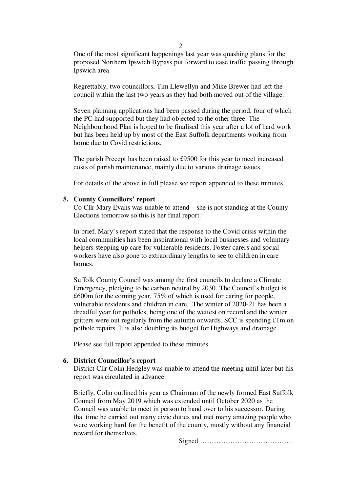One of the most significant happenings last year was quashing plans for the proposed Northern Ipswich Bypass put forward to ease traffic passing through Ipswich area.

Regrettably, two councillors, Tim Llewellyn and Mike Brewer had left the council within the last two years as they had both moved out of the village.

Seven planning applications had been passed during the period, four of which the PC had supported but they had objected to the other three. The Neighbourhood Plan is hoped to be finalised this year after a lot of hard work but has been held up by most of the East Suffolk departments working from home due to Covid restrictions.

The parish Precept has been raised to £9500 for this year to meet increased costs of parish maintenance, mainly due to various drainage issues.

For details of the above in full please see report appended to these minutes.

#### **5. County Councillors' report**

Co Cllr Mary Evans was unable to attend – she is not standing at the County Elections tomorrow so this is her final report.

In brief, Mary's report stated that the response to the Covid crisis within the local communities has been inspirational with local businesses and voluntary helpers stepping up care for vulnerable residents. Foster carers and social workers have also gone to extraordinary lengths to see to children in care homes.

Suffolk County Council was among the first councils to declare a Climate Emergency, pledging to be carbon neutral by 2030. The Council's budget is £600m for the coming year, 75% of which is used for caring for people, vulnerable residents and children in care. The winter of 2020-21 has been a dreadful year for potholes, being one of the wettest on record and the winter gritters were out regularly from the autumn onwards. SCC is spending £1m on pothole repairs. It is also doubling its budget for Highways and drainage

Please see full report appended to these minutes.

### **6. District Councillor's report**

District Cllr Colin Hedgley was unable to attend the meeting until later but his report was circulated in advance.

Briefly, Colin outlined his year as Chairman of the newly formed East Suffolk Council from May 2019 which was extended until October 2020 as the Council was unable to meet in person to hand over to his successor. During that time he carried out many civic duties and met many amazing people who were working hard for the benefit of the county, mostly without any financial reward for themselves.

Signed ………………………………….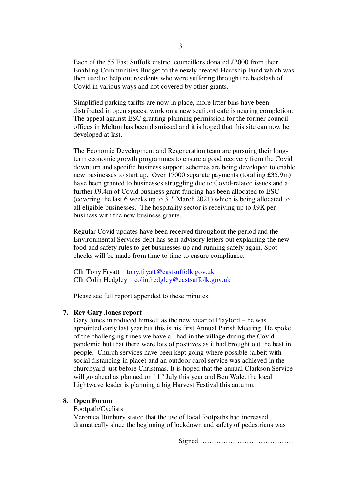Each of the 55 East Suffolk district councillors donated £2000 from their Enabling Communities Budget to the newly created Hardship Fund which was then used to help out residents who were suffering through the backlash of Covid in various ways and not covered by other grants.

Simplified parking tariffs are now in place, more litter bins have been distributed in open spaces, work on a new seafront café is nearing completion. The appeal against ESC granting planning permission for the former council offices in Melton has been dismissed and it is hoped that this site can now be developed at last.

The Economic Development and Regeneration team are pursuing their longterm economic growth programmes to ensure a good recovery from the Covid downturn and specific business support schemes are being developed to enable new businesses to start up. Over 17000 separate payments (totalling £35.9m) have been granted to businesses struggling due to Covid-related issues and a further £9.4m of Covid business grant funding has been allocated to ESC (covering the last 6 weeks up to  $31<sup>st</sup>$  March 2021) which is being allocated to all eligible businesses. The hospitality sector is receiving up to £9K per business with the new business grants.

Regular Covid updates have been received throughout the period and the Environmental Services dept has sent advisory letters out explaining the new food and safety rules to get businesses up and running safely again. Spot checks will be made from time to time to ensure compliance.

Cllr Tony Fryatt tony.fryatt@eastsuffolk.gov.uk Cllr Colin Hedgley colin.hedgley@eastsuffolk.gov.uk

Please see full report appended to these minutes.

#### **7. Rev Gary Jones report**

Gary Jones introduced himself as the new vicar of Playford – he was appointed early last year but this is his first Annual Parish Meeting. He spoke of the challenging times we have all had in the village during the Covid pandemic but that there were lots of positives as it had brought out the best in people. Church services have been kept going where possible (albeit with social distancing in place) and an outdoor carol service was achieved in the churchyard just before Christmas. It is hoped that the annual Clarkson Service will go ahead as planned on  $11<sup>th</sup>$  July this year and Ben Wale, the local Lightwave leader is planning a big Harvest Festival this autumn.

## **8. Open Forum**

#### Footpath/Cyclists

Veronica Bunbury stated that the use of local footpaths had increased dramatically since the beginning of lockdown and safety of pedestrians was

Signed ………………………………….